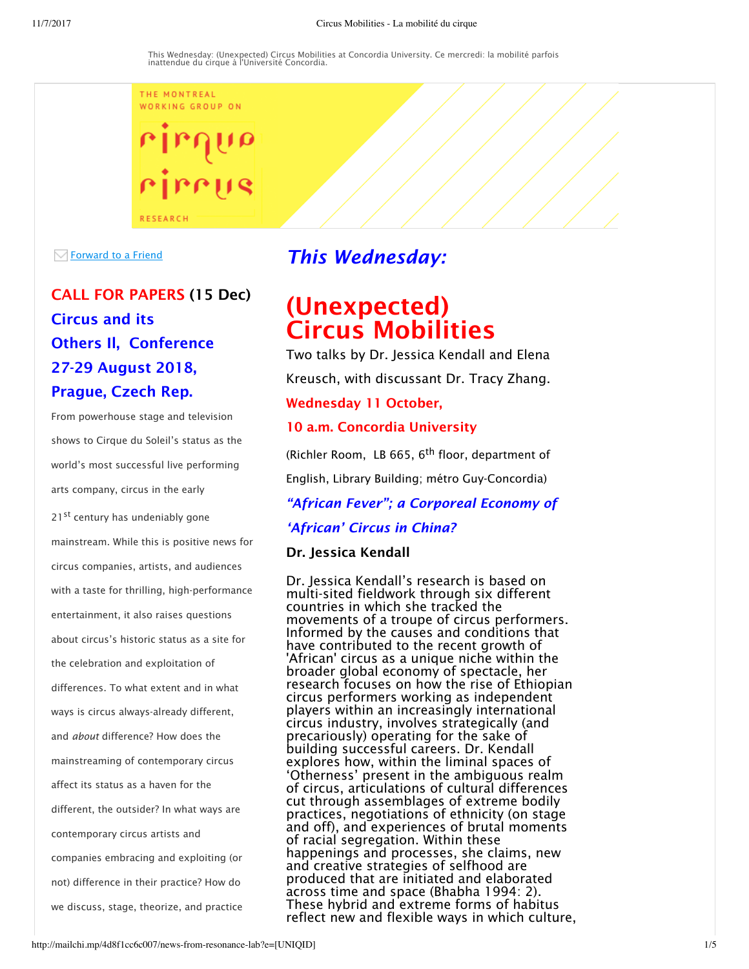THE MONTREAL WORKING GROUP ON

 $\sqrt{\ }$  Forward to a Friend

# CALL FOR PAPERS (15 Dec) Circus and its Others Il, Conference 27-29 August 2018, Prague, Czech Rep.

**RESEARCH** 

From powerhouse stage and television shows to Cirque du Soleil's status as the world's most successful live performing arts company, circus in the early

21<sup>st</sup> century has undeniably gone mainstream. While this is positive news for circus companies, artists, and audiences with a taste for thrilling, high-performance entertainment, it also raises questions about circus's historic status as a site for the celebration and exploitation of differences. To what extent and in what ways is circus always-already different, and *about* difference? How does the mainstreaming of contemporary circus affect its status as a haven for the different, the outsider? In what ways are contemporary circus artists and companies embracing and exploiting (or not) difference in their practice? How do we discuss, stage, theorize, and practice

## *This Wednesday:*

# (Unexpected) Circus Mobilities

Two talks by Dr. Jessica Kendall and Elena

Kreusch, with discussant Dr. Tracy Zhang.

## Wednesday 11 October,

## 10 a.m. Concordia University

(Richler Room, LB 665, 6<sup>th</sup> floor, department of English, Library Building; métro Guy-Concordia)

*"African Fever"; a Corporeal Economy of*

*'African' Circus in China?* 

## Dr. Jessica Kendall

Dr. Jessica Kendall's research is based on multi-sited fieldwork through six different countries in which she tracked the movements of a troupe of circus performers. Informed by the causes and conditions that have contributed to the recent growth of 'African' circus as a unique niche within the broader global economy of spectacle, her research focuses on how the rise of Ethiopian circus performers working as independent players within an increasingly international circus industry, involves strategically (and precariously) operating for the sake of building successful careers. Dr. Kendall explores how, within the liminal spaces of 'Otherness' present in the ambiguous realm of circus, articulations of cultural differences cut through assemblages of extreme bodily practices, negotiations of ethnicity (on stage and off), and experiences of brutal moments of racial segregation. Within these happenings and processes, she claims, new and creative strategies of selfhood are produced that are initiated and elaborated across time and space (Bhabha 1994: 2). These hybrid and extreme forms of habitus reflect new and flexible ways in which culture,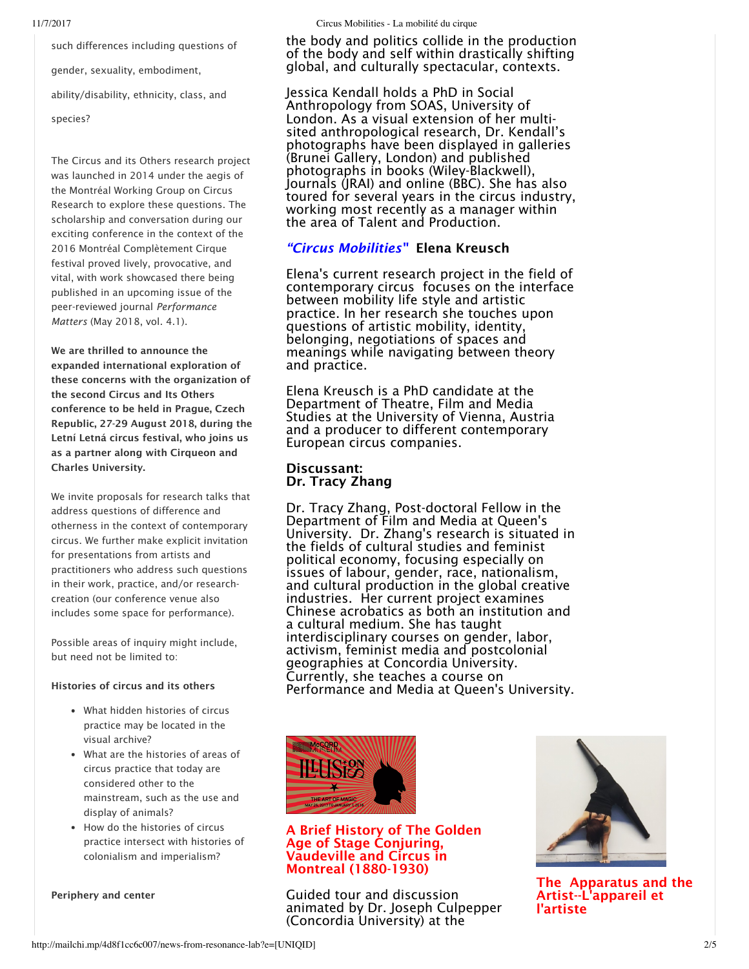such differences including questions of gender, sexuality, embodiment, ability/disability, ethnicity, class, and

species?

The Circus and its Others research project was launched in 2014 under the aegis of the Montréal Working Group on Circus Research to explore these questions. The scholarship and conversation during our exciting conference in the context of the 2016 Montréal Complètement Cirque festival proved lively, provocative, and vital, with work showcased there being published in an upcoming issue of the peer-reviewed journal *Performance Matters* (May 2018, vol. 4.1).

We are thrilled to announce the expanded international exploration of these concerns with the organization of the second Circus and Its Others conference to be held in Prague, Czech Republic, 27-29 August 2018, during the Letní Letná circus festival, who joins us as a partner along with Cirqueon and Charles University.

We invite proposals for research talks that address questions of difference and otherness in the context of contemporary circus. We further make explicit invitation for presentations from artists and practitioners who address such questions in their work, practice, and/or researchcreation (our conference venue also includes some space for performance).

Possible areas of inquiry might include, but need not be limited to:

#### Histories of circus and its others

- What hidden histories of circus practice may be located in the visual archive?
- What are the histories of areas of circus practice that today are considered other to the mainstream, such as the use and display of animals?
- How do the histories of circus practice intersect with histories of colonialism and imperialism?

the body and politics collide in the production of the body and self within drastically shifting global, and culturally spectacular, contexts.

Jessica Kendall holds a PhD in Social Anthropology from SOAS, University of London. As a visual extension of her multisited anthropological research, Dr. Kendall's photographs have been displayed in galleries (Brunei Gallery, London) and published photographs in books (Wiley-Blackwell), Journals (JRAI) and online (BBC). She has also toured for several years in the circus industry, working most recently as a manager within the area of Talent and Production.

## *"Circus Mobilities"* Elena Kreusch

Elena's current research project in the field of contemporary circus focuses on the interface between mobility life style and artistic practice. In her research she touches upon questions of artistic mobility, identity, belonging, negotiations of spaces and meanings while navigating between theory and practice.

Elena Kreusch is a PhD candidate at the Department of Theatre, Film and Media Studies at the University of Vienna, Austria and a producer to different contemporary European circus companies.

## Discussant: Dr. Tracy Zhang

Dr. Tracy Zhang, Post-doctoral Fellow in the Department of Film and Media at Queen's University. Dr. Zhang's research is situated in the fields of cultural studies and feminist political economy, focusing especially on issues of labour, gender, race, nationalism, and cultural production in the global creative industries. Her current project examines Chinese acrobatics as both an institution and a cultural medium. She has taught interdisciplinary courses on gender, labor, activism, feminist media and postcolonial geographies at Concordia University. Currently, she teaches a course on Performance and Media at Queen's University.



#### A Brief History of The Golden Age of Stage Conjuring, Vaudeville and Circus in Montreal (1880-1930)

Guided tour and discussion animated by Dr. Joseph Culpepper (Concordia University) at the



The Apparatus and the Artist--L'appareil et l'artiste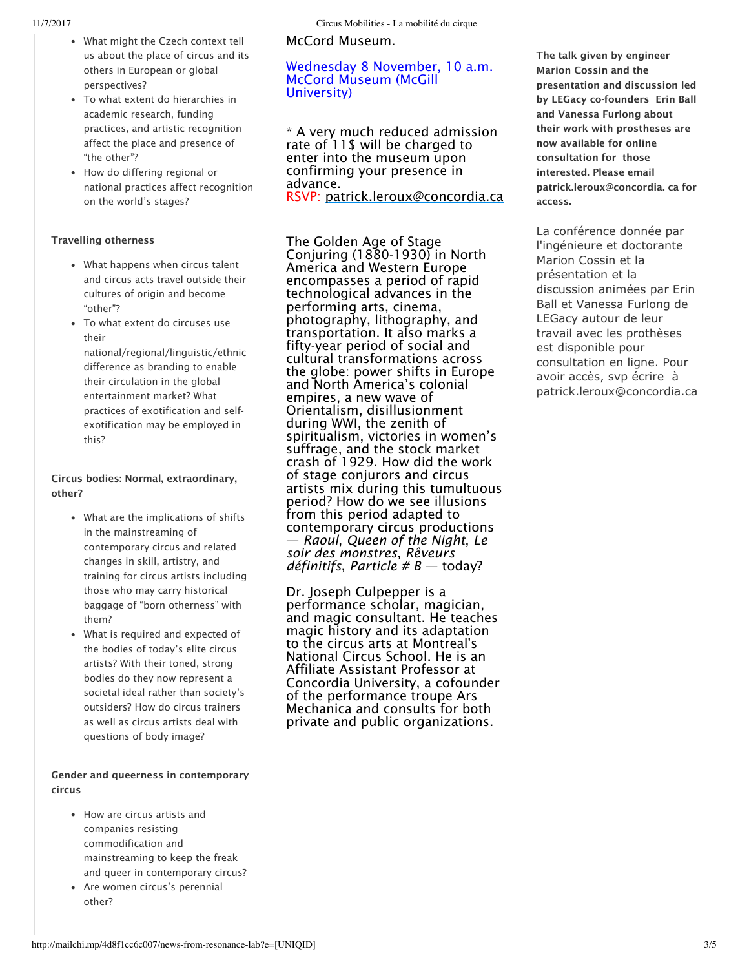- What might the Czech context tell us about the place of circus and its others in European or global perspectives?
- To what extent do hierarchies in academic research, funding practices, and artistic recognition affect the place and presence of "the other"?
- How do differing regional or national practices affect recognition on the world's stages?

#### Travelling otherness

- What happens when circus talent and circus acts travel outside their cultures of origin and become "other"?
- To what extent do circuses use their

national/regional/linguistic/ethnic difference as branding to enable their circulation in the global entertainment market? What practices of exotification and selfexotification may be employed in this?

#### Circus bodies: Normal, extraordinary, other?

- What are the implications of shifts in the mainstreaming of contemporary circus and related changes in skill, artistry, and training for circus artists including those who may carry historical baggage of "born otherness" with them?
- What is required and expected of the bodies of today's elite circus artists? With their toned, strong bodies do they now represent a societal ideal rather than society's outsiders? How do circus trainers as well as circus artists deal with questions of body image?

#### Gender and queerness in contemporary circus

- How are circus artists and companies resisting commodification and mainstreaming to keep the freak and queer in contemporary circus?
- Are women circus's perennial other?

McCord Museum.

#### Wednesday 8 November, 10 a.m. McCord Museum (McGill University)

\* A very much reduced admission rate of 11\$ will be charged to enter into the museum upon confirming your presence in advance.

RSVP: patrick.leroux@concordia.ca

The Golden Age of Stage Conjuring (1880-1930) in North America and Western Europe encompasses a period of rapid technological advances in the performing arts, cinema, photography, lithography, and transportation. It also marks a fifty-year period of social and cultural transformations across the globe: power shifts in Europe and North America's colonial empires, a new wave of Orientalism, disillusionment during WWI, the zenith of spiritualism, victories in women's suffrage, and the stock market crash of 1929. How did the work of stage conjurors and circus artists mix during this tumultuous period? How do we see illusions from this period adapted to contemporary circus productions — *Raoul*, *Queen of the Night*, *Le soir des monstres*, *Rêveurs définitifs*, *Particle # B* — today?

Dr. Joseph Culpepper is a performance scholar, magician, and magic consultant. He teaches magic history and its adaptation to the circus arts at Montreal's National Circus School. He is an Affiliate Assistant Professor at Concordia University, a cofounder of the performance troupe Ars Mechanica and consults for both private and public organizations.

The talk given by engineer Marion Cossin and the presentation and discussion led by LEGacy co-founders Erin Ball and Vanessa Furlong about their work with prostheses are now available for online consultation for those interested. Please email patrick.leroux@concordia. ca for access.

La conférence donnée par l'ingénieure et doctorante Marion Cossin et la présentation et la discussion animées par Erin Ball et Vanessa Furlong de LEGacy autour de leur travail avec les prothèses est disponible pour consultation en ligne. Pour avoir accès, svp écrire à patrick.leroux@concordia.ca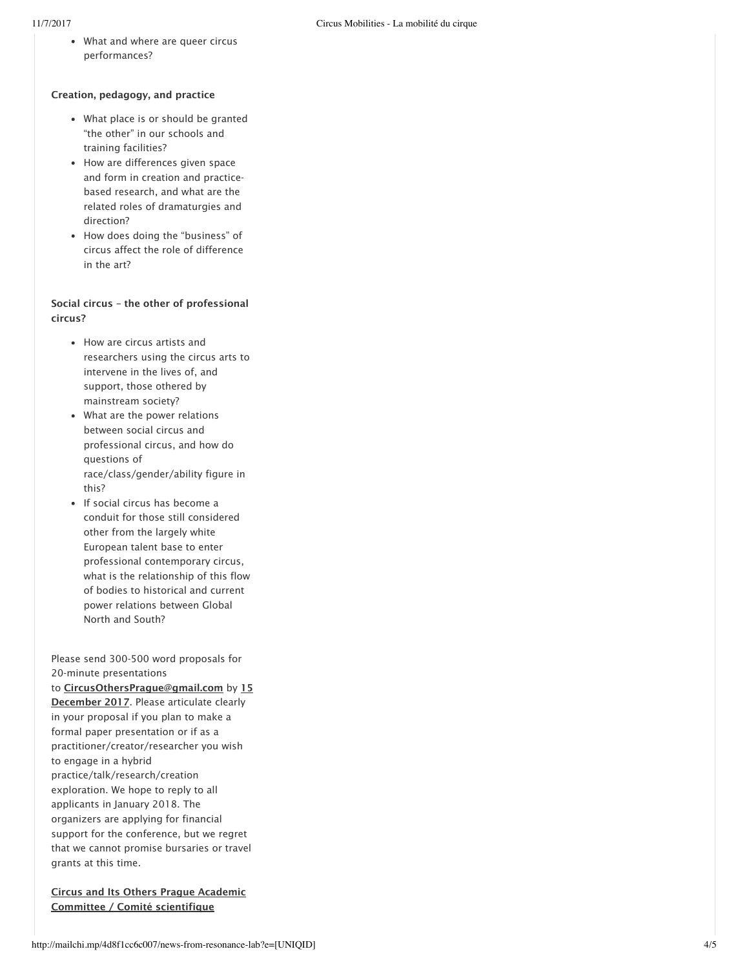What and where are queer circus performances?

#### Creation, pedagogy, and practice

- What place is or should be granted "the other" in our schools and training facilities?
- How are differences given space and form in creation and practicebased research, and what are the related roles of dramaturgies and direction?
- How does doing the "business" of circus affect the role of difference in the art?

#### Social circus – the other of professional circus?

- How are circus artists and researchers using the circus arts to intervene in the lives of, and support, those othered by mainstream society?
- What are the power relations between social circus and professional circus, and how do questions of race/class/gender/ability figure in this?
- If social circus has become a conduit for those still considered other from the largely white European talent base to enter professional contemporary circus, what is the relationship of this flow of bodies to historical and current power relations between Global North and South?

Please send 300-500 word proposals for 20-minute presentations to CircusOthersPrague@gmail.com by 15 December 2017. Please articulate clearly in your proposal if you plan to make a formal paper presentation or if as a practitioner/creator/researcher you wish to engage in a hybrid practice/talk/research/creation exploration. We hope to reply to all applicants in January 2018. The organizers are applying for financial support for the conference, but we regret that we cannot promise bursaries or travel grants at this time.

Circus and Its Others Prague Academic Committee / Comité scientifique